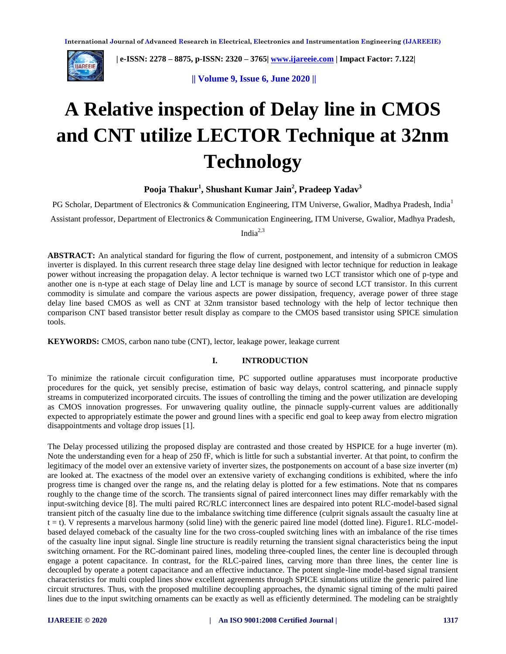

 **| e-ISSN: 2278 – 8875, p-ISSN: 2320 – 3765| [www.ijareeie.com](http://www.ijareeie.com/) | Impact Factor: 7.122|** 

**|| Volume 9, Issue 6, June 2020 ||** 

# **A Relative inspection of Delay line in CMOS and CNT utilize LECTOR Technique at 32nm Technology**

**Pooja Thakur<sup>1</sup> , Shushant Kumar Jain<sup>2</sup> , Pradeep Yadav<sup>3</sup>**

PG Scholar, Department of Electronics & Communication Engineering, ITM Universe, Gwalior, Madhya Pradesh, India<sup>1</sup>

Assistant professor, Department of Electronics & Communication Engineering, ITM Universe, Gwalior, Madhya Pradesh,

Indi $a^{2,3}$ 

**ABSTRACT:** An analytical standard for figuring the flow of current, postponement, and intensity of a submicron CMOS inverter is displayed. In this current research three stage delay line designed with lector technique for reduction in leakage power without increasing the propagation delay. A lector technique is warned two LCT transistor which one of p-type and another one is n-type at each stage of Delay line and LCT is manage by source of second LCT transistor. In this current commodity is simulate and compare the various aspects are power dissipation, frequency, average power of three stage delay line based CMOS as well as CNT at 32nm transistor based technology with the help of lector technique then comparison CNT based transistor better result display as compare to the CMOS based transistor using SPICE simulation tools.

**KEYWORDS:** CMOS, carbon nano tube (CNT), lector, leakage power, leakage current

## **I. INTRODUCTION**

To minimize the rationale circuit configuration time, PC supported outline apparatuses must incorporate productive procedures for the quick, yet sensibly precise, estimation of basic way delays, control scattering, and pinnacle supply streams in computerized incorporated circuits. The issues of controlling the timing and the power utilization are developing as CMOS innovation progresses. For unwavering quality outline, the pinnacle supply-current values are additionally expected to appropriately estimate the power and ground lines with a specific end goal to keep away from electro migration disappointments and voltage drop issues [1].

The Delay processed utilizing the proposed display are contrasted and those created by HSPICE for a huge inverter (m). Note the understanding even for a heap of 250 fF, which is little for such a substantial inverter. At that point, to confirm the legitimacy of the model over an extensive variety of inverter sizes, the postponements on account of a base size inverter (m) are looked at. The exactness of the model over an extensive variety of exchanging conditions is exhibited, where the info progress time is changed over the range ns, and the relating delay is plotted for a few estimations. Note that ns compares roughly to the change time of the scorch. The transients signal of paired interconnect lines may differ remarkably with the input-switching device [8]. The multi paired RC/RLC interconnect lines are despaired into potent RLC-model-based signal transient pitch of the casualty line due to the imbalance switching time difference (culprit signals assault the casualty line at  $t = t$ ). V represents a marvelous harmony (solid line) with the generic paired line model (dotted line). Figure1. RLC-modelbased delayed comeback of the casualty line for the two cross-coupled switching lines with an imbalance of the rise times of the casualty line input signal. Single line structure is readily returning the transient signal characteristics being the input switching ornament. For the RC-dominant paired lines, modeling three-coupled lines, the center line is decoupled through engage a potent capacitance. In contrast, for the RLC-paired lines, carving more than three lines, the center line is decoupled by operate a potent capacitance and an effective inductance. The potent single-line model-based signal transient characteristics for multi coupled lines show excellent agreements through SPICE simulations utilize the generic paired line circuit structures. Thus, with the proposed multiline decoupling approaches, the dynamic signal timing of the multi paired lines due to the input switching ornaments can be exactly as well as efficiently determined. The modeling can be straightly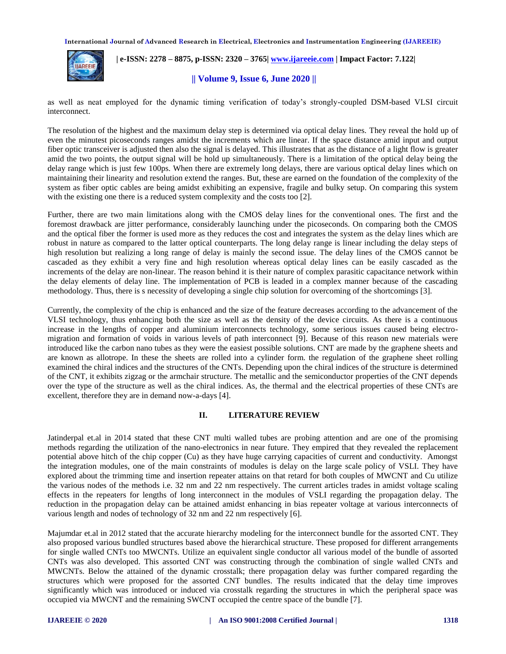

 **| e-ISSN: 2278 – 8875, p-ISSN: 2320 – 3765| [www.ijareeie.com](http://www.ijareeie.com/) | Impact Factor: 7.122|** 

**|| Volume 9, Issue 6, June 2020 ||** 

as well as neat employed for the dynamic timing verification of today's strongly-coupled DSM-based VLSI circuit interconnect.

The resolution of the highest and the maximum delay step is determined via optical delay lines. They reveal the hold up of even the minutest picoseconds ranges amidst the increments which are linear. If the space distance amid input and output fiber optic transceiver is adjusted then also the signal is delayed. This illustrates that as the distance of a light flow is greater amid the two points, the output signal will be hold up simultaneously. There is a limitation of the optical delay being the delay range which is just few 100ps. When there are extremely long delays, there are various optical delay lines which on maintaining their linearity and resolution extend the ranges. But, these are earned on the foundation of the complexity of the system as fiber optic cables are being amidst exhibiting an expensive, fragile and bulky setup. On comparing this system with the existing one there is a reduced system complexity and the costs too [2].

Further, there are two main limitations along with the CMOS delay lines for the conventional ones. The first and the foremost drawback are jitter performance, considerably launching under the picoseconds. On comparing both the CMOS and the optical fiber the former is used more as they reduces the cost and integrates the system as the delay lines which are robust in nature as compared to the latter optical counterparts. The long delay range is linear including the delay steps of high resolution but realizing a long range of delay is mainly the second issue. The delay lines of the CMOS cannot be cascaded as they exhibit a very fine and high resolution whereas optical delay lines can be easily cascaded as the increments of the delay are non-linear. The reason behind it is their nature of complex parasitic capacitance network within the delay elements of delay line. The implementation of PCB is leaded in a complex manner because of the cascading methodology. Thus, there is s necessity of developing a single chip solution for overcoming of the shortcomings [3].

Currently, the complexity of the chip is enhanced and the size of the feature decreases according to the advancement of the VLSI technology, thus enhancing both the size as well as the density of the device circuits. As there is a continuous increase in the lengths of copper and aluminium interconnects technology, some serious issues caused being electromigration and formation of voids in various levels of path interconnect [9]. Because of this reason new materials were introduced like the carbon nano tubes as they were the easiest possible solutions. CNT are made by the graphene sheets and are known as allotrope. In these the sheets are rolled into a cylinder form. the regulation of the graphene sheet rolling examined the chiral indices and the structures of the CNTs. Depending upon the chiral indices of the structure is determined of the CNT, it exhibits zigzag or the armchair structure. The metallic and the semiconductor properties of the CNT depends over the type of the structure as well as the chiral indices. As, the thermal and the electrical properties of these CNTs are excellent, therefore they are in demand now-a-days [4].

## **II. LITERATURE REVIEW**

Jatinderpal et.al in 2014 stated that these CNT multi walled tubes are probing attention and are one of the promising methods regarding the utilization of the nano-electronics in near future. They empired that they revealed the replacement potential above hitch of the chip copper (Cu) as they have huge carrying capacities of current and conductivity. Amongst the integration modules, one of the main constraints of modules is delay on the large scale policy of VSLI. They have explored about the trimming time and insertion repeater attains on that retard for both couples of MWCNT and Cu utilize the various nodes of the methods i.e. 32 nm and 22 nm respectively. The current articles trades in amidst voltage scaling effects in the repeaters for lengths of long interconnect in the modules of VSLI regarding the propagation delay. The reduction in the propagation delay can be attained amidst enhancing in bias repeater voltage at various interconnects of various length and nodes of technology of 32 nm and 22 nm respectively [6].

Majumdar et.al in 2012 stated that the accurate hierarchy modeling for the interconnect bundle for the assorted CNT. They also proposed various bundled structures based above the hierarchical structure. These proposed for different arrangements for single walled CNTs too MWCNTs. Utilize an equivalent single conductor all various model of the bundle of assorted CNTs was also developed. This assorted CNT was constructing through the combination of single walled CNTs and MWCNTs. Below the attained of the dynamic crosstalk; there propagation delay was further compared regarding the structures which were proposed for the assorted CNT bundles. The results indicated that the delay time improves significantly which was introduced or induced via crosstalk regarding the structures in which the peripheral space was occupied via MWCNT and the remaining SWCNT occupied the centre space of the bundle [7].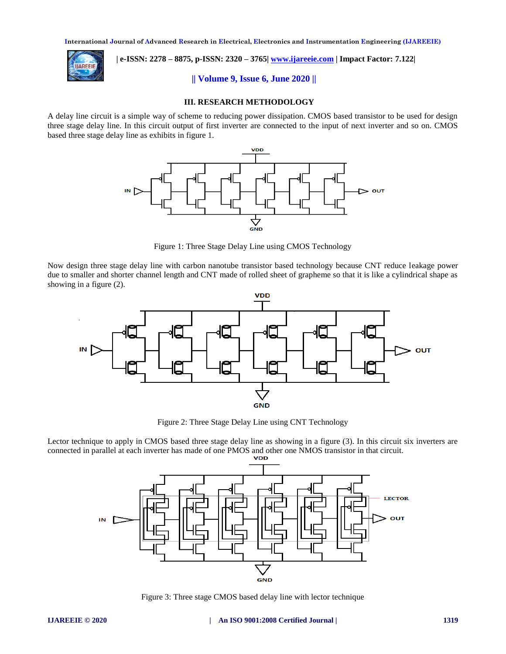

 **| e-ISSN: 2278 – 8875, p-ISSN: 2320 – 3765| [www.ijareeie.com](http://www.ijareeie.com/) | Impact Factor: 7.122|** 

**|| Volume 9, Issue 6, June 2020 ||** 

## **III. RESEARCH METHODOLOGY**

A delay line circuit is a simple way of scheme to reducing power dissipation. CMOS based transistor to be used for design three stage delay line. In this circuit output of first inverter are connected to the input of next inverter and so on. CMOS based three stage delay line as exhibits in figure 1.



Figure 1: Three Stage Delay Line using CMOS Technology

Now design three stage delay line with carbon nanotube transistor based technology because CNT reduce leakage power due to smaller and shorter channel length and CNT made of rolled sheet of grapheme so that it is like a cylindrical shape as showing in a figure (2).



Figure 2: Three Stage Delay Line using CNT Technology

Lector technique to apply in CMOS based three stage delay line as showing in a figure (3). In this circuit six inverters are connected in parallel at each inverter has made of one PMOS and other one NMOS transistor in that circuit.



Figure 3: Three stage CMOS based delay line with lector technique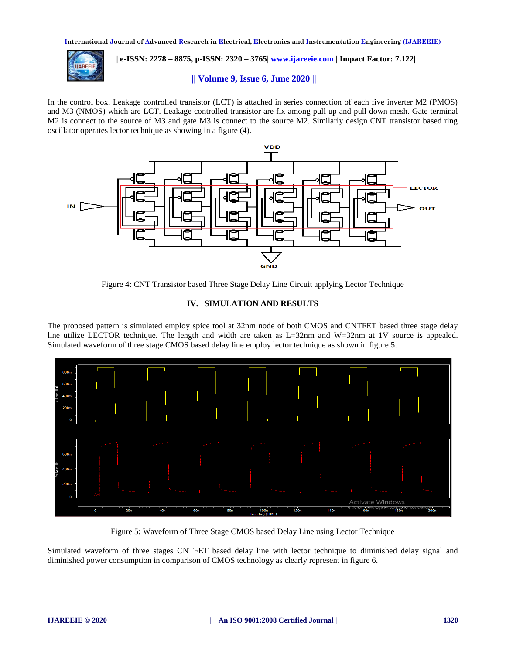

# **| e-ISSN: 2278 – 8875, p-ISSN: 2320 – 3765| [www.ijareeie.com](http://www.ijareeie.com/) | Impact Factor: 7.122|**

## **|| Volume 9, Issue 6, June 2020 ||**

In the control box, Leakage controlled transistor (LCT) is attached in series connection of each five inverter M2 (PMOS) and M3 (NMOS) which are LCT. Leakage controlled transistor are fix among pull up and pull down mesh. Gate terminal M2 is connect to the source of M3 and gate M3 is connect to the source M2. Similarly design CNT transistor based ring oscillator operates lector technique as showing in a figure (4).



Figure 4: CNT Transistor based Three Stage Delay Line Circuit applying Lector Technique

## **IV. SIMULATION AND RESULTS**

The proposed pattern is simulated employ spice tool at 32nm node of both CMOS and CNTFET based three stage delay line utilize LECTOR technique. The length and width are taken as L=32nm and W=32nm at 1V source is appealed. Simulated waveform of three stage CMOS based delay line employ lector technique as shown in figure 5.



Figure 5: Waveform of Three Stage CMOS based Delay Line using Lector Technique

Simulated waveform of three stages CNTFET based delay line with lector technique to diminished delay signal and diminished power consumption in comparison of CMOS technology as clearly represent in figure 6.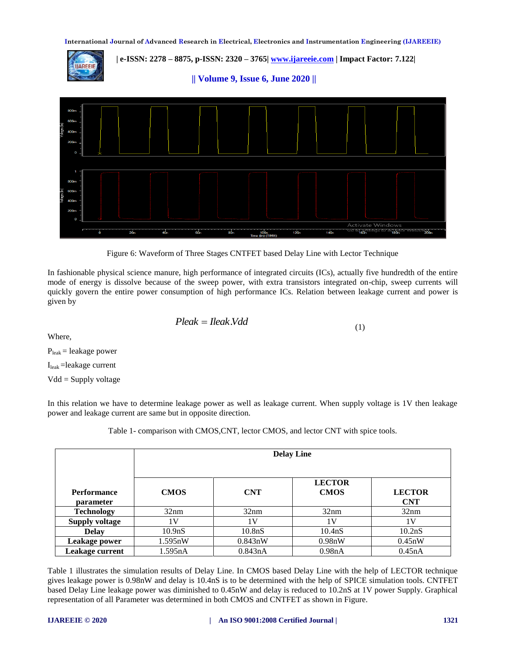**| e-ISSN: 2278 – 8875, p-ISSN: 2320 – 3765| [www.ijareeie.com](http://www.ijareeie.com/) | Impact Factor: 7.122|** 

**|| Volume 9, Issue 6, June 2020 ||** 



Figure 6: Waveform of Three Stages CNTFET based Delay Line with Lector Technique

In fashionable physical science manure, high performance of integrated circuits (ICs), actually five hundredth of the entire mode of energy is dissolve because of the sweep power, with extra transistors integrated on-chip, sweep currents will quickly govern the entire power consumption of high performance ICs. Relation between leakage current and power is given by

$$
Please = \text{lleak.Vdd} \tag{1}
$$

Where,

 $P<sub>leak</sub> =$  leakage power

 $I<sub>leak</sub> =$ leakage current

Vdd = Supply voltage

In this relation we have to determine leakage power as well as leakage current. When supply voltage is 1V then leakage power and leakage current are same but in opposite direction.

Table 1- comparison with CMOS,CNT, lector CMOS, and lector CNT with spice tools.

|                                 | <b>Delay Line</b>   |                     |                              |                             |
|---------------------------------|---------------------|---------------------|------------------------------|-----------------------------|
| <b>Performance</b><br>parameter | <b>CMOS</b>         | <b>CNT</b>          | <b>LECTOR</b><br><b>CMOS</b> | <b>LECTOR</b><br><b>CNT</b> |
| <b>Technology</b>               | 32nm                | 32nm                | 32nm                         | 32nm                        |
| <b>Supply voltage</b>           | 1V                  | 1V                  | 1V                           | 1V                          |
| <b>Delay</b>                    | 10.9 <sub>n</sub> S | 10.8 <sub>n</sub> S | 10.4nS                       | 10.2nS                      |
| Leakage power                   | 1.595nW             | 0.843nW             | 0.98nW                       | 0.45nW                      |
| Leakage current                 | 1.595nA             | 0.843nA             | 0.98nA                       | 0.45nA                      |

Table 1 illustrates the simulation results of Delay Line. In CMOS based Delay Line with the help of LECTOR technique gives leakage power is 0.98nW and delay is 10.4nS is to be determined with the help of SPICE simulation tools. CNTFET based Delay Line leakage power was diminished to 0.45nW and delay is reduced to 10.2nS at 1V power Supply. Graphical representation of all Parameter was determined in both CMOS and CNTFET as shown in Figure.